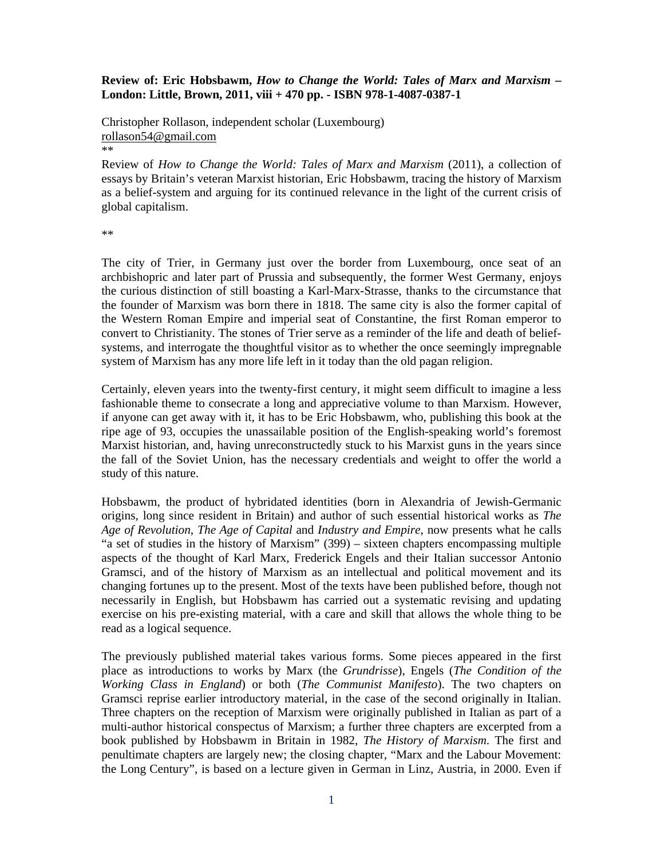## **Review of: Eric Hobsbawm,** *How to Change the World: Tales of Marx and Marxism* **– London: Little, Brown, 2011, viii + 470 pp. - ISBN 978-1-4087-0387-1**

Christopher Rollason, independent scholar (Luxembourg) rollason54@gmail.com \*\*

Review of *How to Change the World: Tales of Marx and Marxism* (2011), a collection of essays by Britain's veteran Marxist historian, Eric Hobsbawm, tracing the history of Marxism as a belief-system and arguing for its continued relevance in the light of the current crisis of global capitalism.

\*\*

The city of Trier, in Germany just over the border from Luxembourg, once seat of an archbishopric and later part of Prussia and subsequently, the former West Germany, enjoys the curious distinction of still boasting a Karl-Marx-Strasse, thanks to the circumstance that the founder of Marxism was born there in 1818. The same city is also the former capital of the Western Roman Empire and imperial seat of Constantine, the first Roman emperor to convert to Christianity. The stones of Trier serve as a reminder of the life and death of beliefsystems, and interrogate the thoughtful visitor as to whether the once seemingly impregnable system of Marxism has any more life left in it today than the old pagan religion.

Certainly, eleven years into the twenty-first century, it might seem difficult to imagine a less fashionable theme to consecrate a long and appreciative volume to than Marxism. However, if anyone can get away with it, it has to be Eric Hobsbawm, who, publishing this book at the ripe age of 93, occupies the unassailable position of the English-speaking world's foremost Marxist historian, and, having unreconstructedly stuck to his Marxist guns in the years since the fall of the Soviet Union, has the necessary credentials and weight to offer the world a study of this nature.

Hobsbawm, the product of hybridated identities (born in Alexandria of Jewish-Germanic origins, long since resident in Britain) and author of such essential historical works as *The Age of Revolution*, *The Age of Capital* and *Industry and Empire*, now presents what he calls "a set of studies in the history of Marxism" (399) – sixteen chapters encompassing multiple aspects of the thought of Karl Marx, Frederick Engels and their Italian successor Antonio Gramsci, and of the history of Marxism as an intellectual and political movement and its changing fortunes up to the present. Most of the texts have been published before, though not necessarily in English, but Hobsbawm has carried out a systematic revising and updating exercise on his pre-existing material, with a care and skill that allows the whole thing to be read as a logical sequence.

The previously published material takes various forms. Some pieces appeared in the first place as introductions to works by Marx (the *Grundrisse*), Engels (*The Condition of the Working Class in England*) or both (*The Communist Manifesto*). The two chapters on Gramsci reprise earlier introductory material, in the case of the second originally in Italian. Three chapters on the reception of Marxism were originally published in Italian as part of a multi-author historical conspectus of Marxism; a further three chapters are excerpted from a book published by Hobsbawm in Britain in 1982, *The History of Marxism*. The first and penultimate chapters are largely new; the closing chapter, "Marx and the Labour Movement: the Long Century", is based on a lecture given in German in Linz, Austria, in 2000. Even if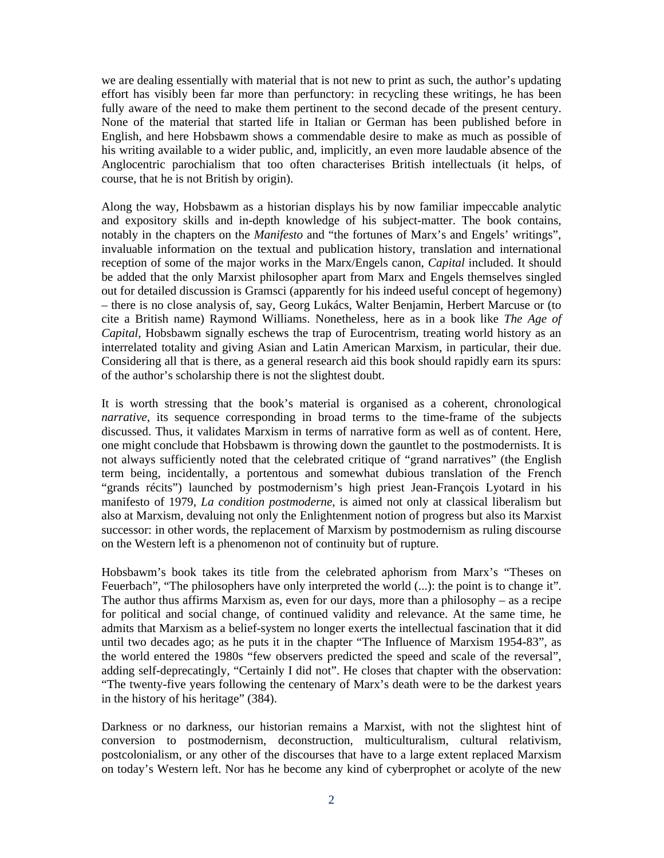we are dealing essentially with material that is not new to print as such, the author's updating effort has visibly been far more than perfunctory: in recycling these writings, he has been fully aware of the need to make them pertinent to the second decade of the present century. None of the material that started life in Italian or German has been published before in English, and here Hobsbawm shows a commendable desire to make as much as possible of his writing available to a wider public, and, implicitly, an even more laudable absence of the Anglocentric parochialism that too often characterises British intellectuals (it helps, of course, that he is not British by origin).

Along the way, Hobsbawm as a historian displays his by now familiar impeccable analytic and expository skills and in-depth knowledge of his subject-matter. The book contains, notably in the chapters on the *Manifesto* and "the fortunes of Marx's and Engels' writings", invaluable information on the textual and publication history, translation and international reception of some of the major works in the Marx/Engels canon, *Capital* included. It should be added that the only Marxist philosopher apart from Marx and Engels themselves singled out for detailed discussion is Gramsci (apparently for his indeed useful concept of hegemony) – there is no close analysis of, say, Georg Lukács, Walter Benjamin, Herbert Marcuse or (to cite a British name) Raymond Williams. Nonetheless, here as in a book like *The Age of Capital*, Hobsbawm signally eschews the trap of Eurocentrism, treating world history as an interrelated totality and giving Asian and Latin American Marxism, in particular, their due. Considering all that is there, as a general research aid this book should rapidly earn its spurs: of the author's scholarship there is not the slightest doubt.

It is worth stressing that the book's material is organised as a coherent, chronological *narrative*, its sequence corresponding in broad terms to the time-frame of the subjects discussed. Thus, it validates Marxism in terms of narrative form as well as of content. Here, one might conclude that Hobsbawm is throwing down the gauntlet to the postmodernists. It is not always sufficiently noted that the celebrated critique of "grand narratives" (the English term being, incidentally, a portentous and somewhat dubious translation of the French "grands récits") launched by postmodernism's high priest Jean-François Lyotard in his manifesto of 1979, *La condition postmoderne*, is aimed not only at classical liberalism but also at Marxism, devaluing not only the Enlightenment notion of progress but also its Marxist successor: in other words, the replacement of Marxism by postmodernism as ruling discourse on the Western left is a phenomenon not of continuity but of rupture.

Hobsbawm's book takes its title from the celebrated aphorism from Marx's "Theses on Feuerbach", "The philosophers have only interpreted the world (...): the point is to change it". The author thus affirms Marxism as, even for our days, more than a philosophy – as a recipe for political and social change, of continued validity and relevance. At the same time, he admits that Marxism as a belief-system no longer exerts the intellectual fascination that it did until two decades ago; as he puts it in the chapter "The Influence of Marxism 1954-83", as the world entered the 1980s "few observers predicted the speed and scale of the reversal", adding self-deprecatingly, "Certainly I did not". He closes that chapter with the observation: "The twenty-five years following the centenary of Marx's death were to be the darkest years in the history of his heritage" (384).

Darkness or no darkness, our historian remains a Marxist, with not the slightest hint of conversion to postmodernism, deconstruction, multiculturalism, cultural relativism, postcolonialism, or any other of the discourses that have to a large extent replaced Marxism on today's Western left. Nor has he become any kind of cyberprophet or acolyte of the new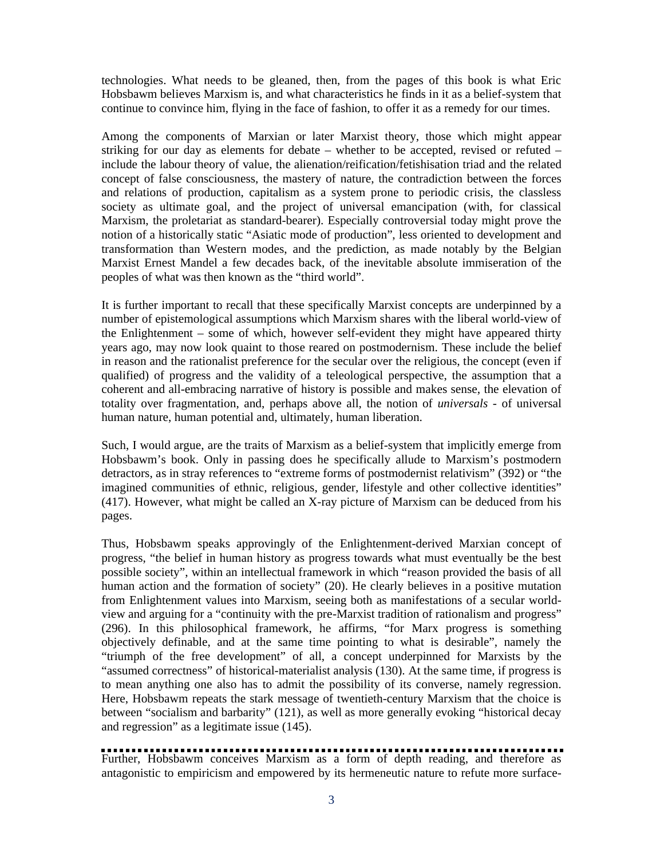technologies. What needs to be gleaned, then, from the pages of this book is what Eric Hobsbawm believes Marxism is, and what characteristics he finds in it as a belief-system that continue to convince him, flying in the face of fashion, to offer it as a remedy for our times.

Among the components of Marxian or later Marxist theory, those which might appear striking for our day as elements for debate – whether to be accepted, revised or refuted – include the labour theory of value, the alienation/reification/fetishisation triad and the related concept of false consciousness, the mastery of nature, the contradiction between the forces and relations of production, capitalism as a system prone to periodic crisis, the classless society as ultimate goal, and the project of universal emancipation (with, for classical Marxism, the proletariat as standard-bearer). Especially controversial today might prove the notion of a historically static "Asiatic mode of production", less oriented to development and transformation than Western modes, and the prediction, as made notably by the Belgian Marxist Ernest Mandel a few decades back, of the inevitable absolute immiseration of the peoples of what was then known as the "third world".

It is further important to recall that these specifically Marxist concepts are underpinned by a number of epistemological assumptions which Marxism shares with the liberal world-view of the Enlightenment – some of which, however self-evident they might have appeared thirty years ago, may now look quaint to those reared on postmodernism. These include the belief in reason and the rationalist preference for the secular over the religious, the concept (even if qualified) of progress and the validity of a teleological perspective, the assumption that a coherent and all-embracing narrative of history is possible and makes sense, the elevation of totality over fragmentation, and, perhaps above all, the notion of *universals* - of universal human nature, human potential and, ultimately, human liberation.

Such, I would argue, are the traits of Marxism as a belief-system that implicitly emerge from Hobsbawm's book. Only in passing does he specifically allude to Marxism's postmodern detractors, as in stray references to "extreme forms of postmodernist relativism" (392) or "the imagined communities of ethnic, religious, gender, lifestyle and other collective identities" (417). However, what might be called an X-ray picture of Marxism can be deduced from his pages.

Thus, Hobsbawm speaks approvingly of the Enlightenment-derived Marxian concept of progress, "the belief in human history as progress towards what must eventually be the best possible society", within an intellectual framework in which "reason provided the basis of all human action and the formation of society" (20). He clearly believes in a positive mutation from Enlightenment values into Marxism, seeing both as manifestations of a secular worldview and arguing for a "continuity with the pre-Marxist tradition of rationalism and progress" (296). In this philosophical framework, he affirms, "for Marx progress is something objectively definable, and at the same time pointing to what is desirable", namely the "triumph of the free development" of all, a concept underpinned for Marxists by the "assumed correctness" of historical-materialist analysis (130). At the same time, if progress is to mean anything one also has to admit the possibility of its converse, namely regression. Here, Hobsbawm repeats the stark message of twentieth-century Marxism that the choice is between "socialism and barbarity" (121), as well as more generally evoking "historical decay and regression" as a legitimate issue (145).

Further, Hobsbawm conceives Marxism as a form of depth reading, and therefore as antagonistic to empiricism and empowered by its hermeneutic nature to refute more surface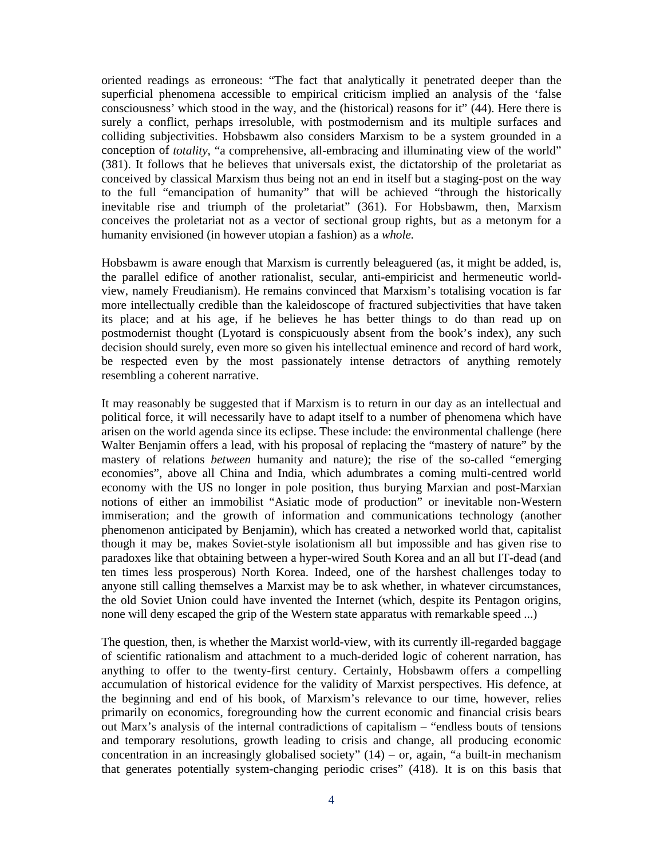oriented readings as erroneous: "The fact that analytically it penetrated deeper than the superficial phenomena accessible to empirical criticism implied an analysis of the 'false consciousness' which stood in the way, and the (historical) reasons for it" (44). Here there is surely a conflict, perhaps irresoluble, with postmodernism and its multiple surfaces and colliding subjectivities. Hobsbawm also considers Marxism to be a system grounded in a conception of *totality*, "a comprehensive, all-embracing and illuminating view of the world" (381). It follows that he believes that universals exist, the dictatorship of the proletariat as conceived by classical Marxism thus being not an end in itself but a staging-post on the way to the full "emancipation of humanity" that will be achieved "through the historically inevitable rise and triumph of the proletariat" (361). For Hobsbawm, then, Marxism conceives the proletariat not as a vector of sectional group rights, but as a metonym for a humanity envisioned (in however utopian a fashion) as a *whole*.

Hobsbawm is aware enough that Marxism is currently beleaguered (as, it might be added, is, the parallel edifice of another rationalist, secular, anti-empiricist and hermeneutic worldview, namely Freudianism). He remains convinced that Marxism's totalising vocation is far more intellectually credible than the kaleidoscope of fractured subjectivities that have taken its place; and at his age, if he believes he has better things to do than read up on postmodernist thought (Lyotard is conspicuously absent from the book's index), any such decision should surely, even more so given his intellectual eminence and record of hard work, be respected even by the most passionately intense detractors of anything remotely resembling a coherent narrative.

It may reasonably be suggested that if Marxism is to return in our day as an intellectual and political force, it will necessarily have to adapt itself to a number of phenomena which have arisen on the world agenda since its eclipse. These include: the environmental challenge (here Walter Benjamin offers a lead, with his proposal of replacing the "mastery of nature" by the mastery of relations *between* humanity and nature); the rise of the so-called "emerging economies", above all China and India, which adumbrates a coming multi-centred world economy with the US no longer in pole position, thus burying Marxian and post-Marxian notions of either an immobilist "Asiatic mode of production" or inevitable non-Western immiseration; and the growth of information and communications technology (another phenomenon anticipated by Benjamin), which has created a networked world that, capitalist though it may be, makes Soviet-style isolationism all but impossible and has given rise to paradoxes like that obtaining between a hyper-wired South Korea and an all but IT-dead (and ten times less prosperous) North Korea. Indeed, one of the harshest challenges today to anyone still calling themselves a Marxist may be to ask whether, in whatever circumstances, the old Soviet Union could have invented the Internet (which, despite its Pentagon origins, none will deny escaped the grip of the Western state apparatus with remarkable speed ...)

The question, then, is whether the Marxist world-view, with its currently ill-regarded baggage of scientific rationalism and attachment to a much-derided logic of coherent narration, has anything to offer to the twenty-first century. Certainly, Hobsbawm offers a compelling accumulation of historical evidence for the validity of Marxist perspectives. His defence, at the beginning and end of his book, of Marxism's relevance to our time, however, relies primarily on economics, foregrounding how the current economic and financial crisis bears out Marx's analysis of the internal contradictions of capitalism – "endless bouts of tensions and temporary resolutions, growth leading to crisis and change, all producing economic concentration in an increasingly globalised society"  $(14)$  – or, again, "a built-in mechanism that generates potentially system-changing periodic crises" (418). It is on this basis that